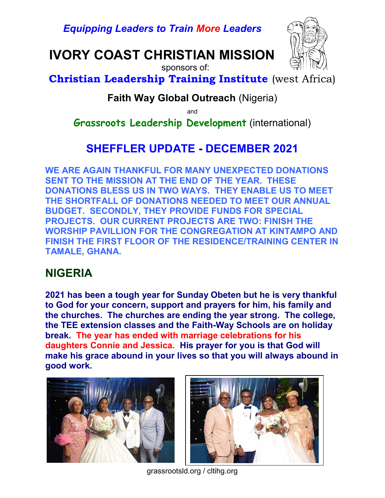Equipping Leaders to Train More Leaders

# IVORY COAST CHRISTIAN MISSION



sponsors of:

### Christian Leadership Training Institute (west Africa)

#### Faith Way Global Outreach (Nigeria)

and

Grassroots Leadership Development (international)

# SHEFFLER UPDATE - DECEMBER 2021

WE ARE AGAIN THANKFUL FOR MANY UNEXPECTED DONATIONS SENT TO THE MISSION AT THE END OF THE YEAR. THESE DONATIONS BLESS US IN TWO WAYS. THEY ENABLE US TO MEET THE SHORTFALL OF DONATIONS NEEDED TO MEET OUR ANNUAL BUDGET. SECONDLY, THEY PROVIDE FUNDS FOR SPECIAL PROJECTS. OUR CURRENT PROJECTS ARE TWO: FINISH THE WORSHIP PAVILLION FOR THE CONGREGATION AT KINTAMPO AND FINISH THE FIRST FLOOR OF THE RESIDENCE/TRAINING CENTER IN TAMALE, GHANA.

### NIGERIA

2021 has been a tough year for Sunday Obeten but he is very thankful to God for your concern, support and prayers for him, his family and the churches. The churches are ending the year strong. The college, the TEE extension classes and the Faith-Way Schools are on holiday break. The year has ended with marriage celebrations for his daughters Connie and Jessica. His prayer for you is that God will make his grace abound in your lives so that you will always abound in good work.





grassrootsld.org / cltihg.org